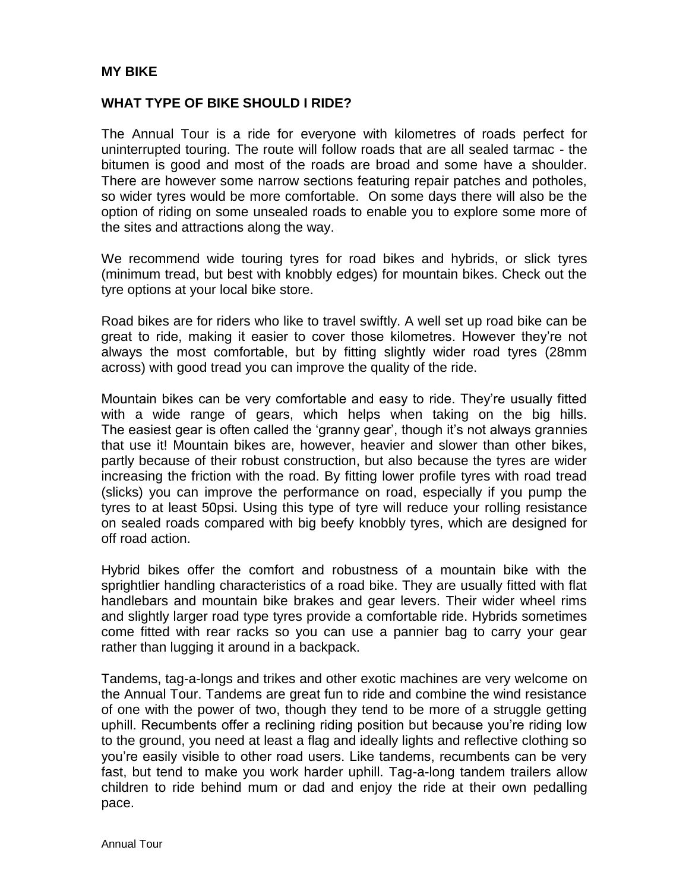### **MY BIKE**

#### **WHAT TYPE OF BIKE SHOULD I RIDE?**

The Annual Tour is a ride for everyone with kilometres of roads perfect for uninterrupted touring. The route will follow roads that are all sealed tarmac - the bitumen is good and most of the roads are broad and some have a shoulder. There are however some narrow sections featuring repair patches and potholes, so wider tyres would be more comfortable. On some days there will also be the option of riding on some unsealed roads to enable you to explore some more of the sites and attractions along the way.

We recommend wide touring tyres for road bikes and hybrids, or slick tyres (minimum tread, but best with knobbly edges) for mountain bikes. Check out the tyre options at your local bike store.

Road bikes are for riders who like to travel swiftly. A well set up road bike can be great to ride, making it easier to cover those kilometres. However they're not always the most comfortable, but by fitting slightly wider road tyres (28mm across) with good tread you can improve the quality of the ride.

Mountain bikes can be very comfortable and easy to ride. They're usually fitted with a wide range of gears, which helps when taking on the big hills. The easiest gear is often called the 'granny gear', though it's not always grannies that use it! Mountain bikes are, however, heavier and slower than other bikes, partly because of their robust construction, but also because the tyres are wider increasing the friction with the road. By fitting lower profile tyres with road tread (slicks) you can improve the performance on road, especially if you pump the tyres to at least 50psi. Using this type of tyre will reduce your rolling resistance on sealed roads compared with big beefy knobbly tyres, which are designed for off road action.

Hybrid bikes offer the comfort and robustness of a mountain bike with the sprightlier handling characteristics of a road bike. They are usually fitted with flat handlebars and mountain bike brakes and gear levers. Their wider wheel rims and slightly larger road type tyres provide a comfortable ride. Hybrids sometimes come fitted with rear racks so you can use a pannier bag to carry your gear rather than lugging it around in a backpack.

Tandems, tag-a-longs and trikes and other exotic machines are very welcome on the Annual Tour. Tandems are great fun to ride and combine the wind resistance of one with the power of two, though they tend to be more of a struggle getting uphill. Recumbents offer a reclining riding position but because you're riding low to the ground, you need at least a flag and ideally lights and reflective clothing so you're easily visible to other road users. Like tandems, recumbents can be very fast, but tend to make you work harder uphill. Tag-a-long tandem trailers allow children to ride behind mum or dad and enjoy the ride at their own pedalling pace.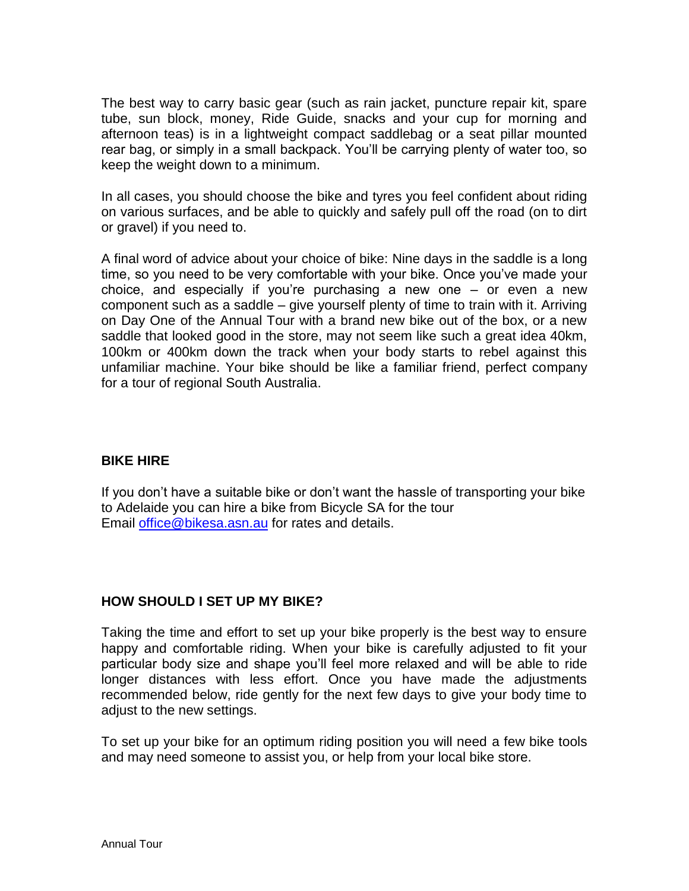The best way to carry basic gear (such as rain jacket, puncture repair kit, spare tube, sun block, money, Ride Guide, snacks and your cup for morning and afternoon teas) is in a lightweight compact saddlebag or a seat pillar mounted rear bag, or simply in a small backpack. You'll be carrying plenty of water too, so keep the weight down to a minimum.

In all cases, you should choose the bike and tyres you feel confident about riding on various surfaces, and be able to quickly and safely pull off the road (on to dirt or gravel) if you need to.

A final word of advice about your choice of bike: Nine days in the saddle is a long time, so you need to be very comfortable with your bike. Once you've made your choice, and especially if you're purchasing a new one  $-$  or even a new component such as a saddle – give yourself plenty of time to train with it. Arriving on Day One of the Annual Tour with a brand new bike out of the box, or a new saddle that looked good in the store, may not seem like such a great idea 40km, 100km or 400km down the track when your body starts to rebel against this unfamiliar machine. Your bike should be like a familiar friend, perfect company for a tour of regional South Australia.

## **BIKE HIRE**

If you don't have a suitable bike or don't want the hassle of transporting your bike to Adelaide you can hire a bike from Bicycle SA for the tour Email [office@bikesa.asn.au](mailto:office@bikesa.asn.au) for rates and details.

## **HOW SHOULD I SET UP MY BIKE?**

Taking the time and effort to set up your bike properly is the best way to ensure happy and comfortable riding. When your bike is carefully adjusted to fit your particular body size and shape you'll feel more relaxed and will be able to ride longer distances with less effort. Once you have made the adjustments recommended below, ride gently for the next few days to give your body time to adjust to the new settings.

To set up your bike for an optimum riding position you will need a few bike tools and may need someone to assist you, or help from your local bike store.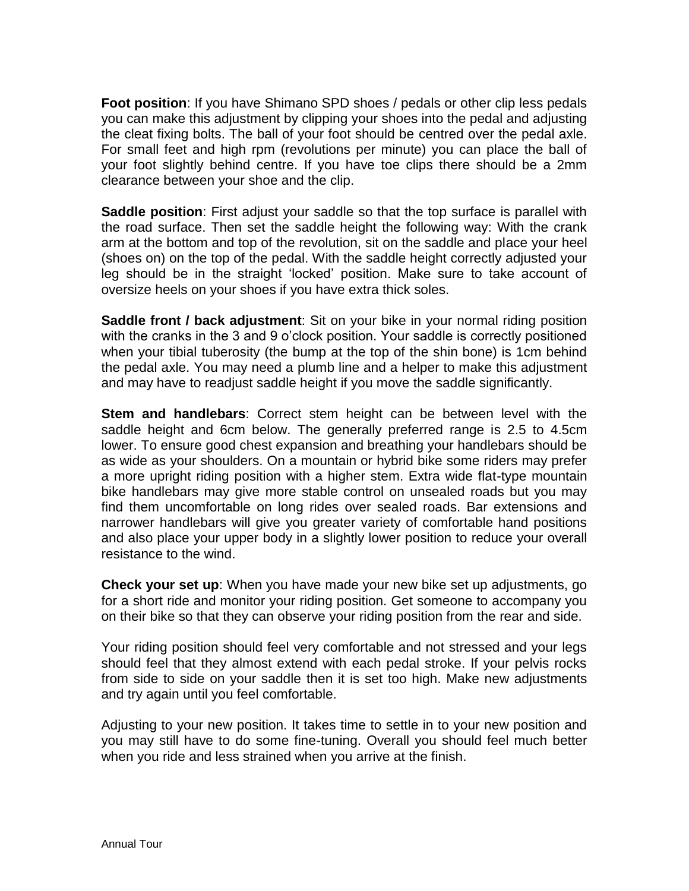**Foot position**: If you have Shimano SPD shoes / pedals or other clip less pedals you can make this adjustment by clipping your shoes into the pedal and adjusting the cleat fixing bolts. The ball of your foot should be centred over the pedal axle. For small feet and high rpm (revolutions per minute) you can place the ball of your foot slightly behind centre. If you have toe clips there should be a 2mm clearance between your shoe and the clip.

**Saddle position**: First adjust your saddle so that the top surface is parallel with the road surface. Then set the saddle height the following way: With the crank arm at the bottom and top of the revolution, sit on the saddle and place your heel (shoes on) on the top of the pedal. With the saddle height correctly adjusted your leg should be in the straight 'locked' position. Make sure to take account of oversize heels on your shoes if you have extra thick soles.

**Saddle front / back adjustment**: Sit on your bike in your normal riding position with the cranks in the 3 and 9 o'clock position. Your saddle is correctly positioned when your tibial tuberosity (the bump at the top of the shin bone) is 1cm behind the pedal axle. You may need a plumb line and a helper to make this adjustment and may have to readjust saddle height if you move the saddle significantly.

**Stem and handlebars**: Correct stem height can be between level with the saddle height and 6cm below. The generally preferred range is 2.5 to 4.5cm lower. To ensure good chest expansion and breathing your handlebars should be as wide as your shoulders. On a mountain or hybrid bike some riders may prefer a more upright riding position with a higher stem. Extra wide flat-type mountain bike handlebars may give more stable control on unsealed roads but you may find them uncomfortable on long rides over sealed roads. Bar extensions and narrower handlebars will give you greater variety of comfortable hand positions and also place your upper body in a slightly lower position to reduce your overall resistance to the wind.

**Check your set up**: When you have made your new bike set up adjustments, go for a short ride and monitor your riding position. Get someone to accompany you on their bike so that they can observe your riding position from the rear and side.

Your riding position should feel very comfortable and not stressed and your legs should feel that they almost extend with each pedal stroke. If your pelvis rocks from side to side on your saddle then it is set too high. Make new adjustments and try again until you feel comfortable.

Adjusting to your new position. It takes time to settle in to your new position and you may still have to do some fine-tuning. Overall you should feel much better when you ride and less strained when you arrive at the finish.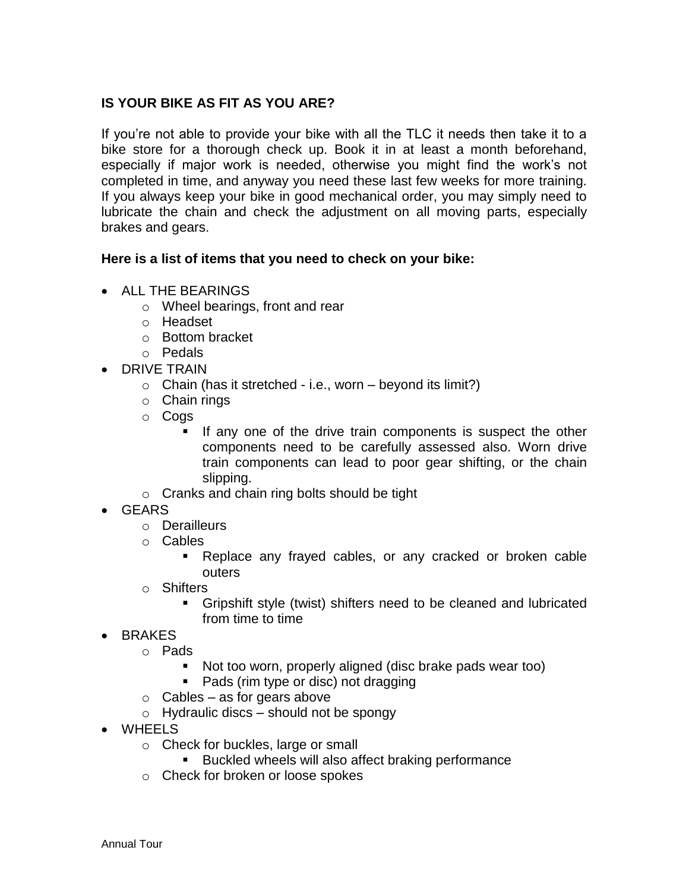## **IS YOUR BIKE AS FIT AS YOU ARE?**

If you're not able to provide your bike with all the TLC it needs then take it to a bike store for a thorough check up. Book it in at least a month beforehand, especially if major work is needed, otherwise you might find the work's not completed in time, and anyway you need these last few weeks for more training. If you always keep your bike in good mechanical order, you may simply need to lubricate the chain and check the adjustment on all moving parts, especially brakes and gears.

### **Here is a list of items that you need to check on your bike:**

- ALL THE BEARINGS
	- o Wheel bearings, front and rear
	- o Headset
	- o Bottom bracket
	- o Pedals
- DRIVE TRAIN
	- $\circ$  Chain (has it stretched i.e., worn beyond its limit?)
	- o Chain rings
	- o Cogs
		- If any one of the drive train components is suspect the other components need to be carefully assessed also. Worn drive train components can lead to poor gear shifting, or the chain slipping.
	- o Cranks and chain ring bolts should be tight
- GEARS
	- o Derailleurs
	- o Cables
		- Replace any frayed cables, or any cracked or broken cable outers
	- o Shifters
		- Gripshift style (twist) shifters need to be cleaned and lubricated from time to time
- BRAKES
	- o Pads
		- Not too worn, properly aligned (disc brake pads wear too)
		- Pads (rim type or disc) not dragging
	- $\circ$  Cables as for gears above
	- $\circ$  Hydraulic discs should not be spongy
- WHEELS
	- o Check for buckles, large or small
		- **Buckled wheels will also affect braking performance**
	- o Check for broken or loose spokes